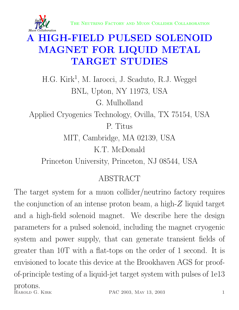

## A HIGH-FIELD PULSED SOLENOID MAGNET FOR LIQUID METAL TARGET STUDIES

H.G. Kirk<sup>1</sup>, M. Iarocci, J. Scaduto, R.J. Weggel BNL, Upton, NY 11973, USA G. Mulholland Applied Cryogenics Technology, Ovilla, TX 75154, USA P. Titus MIT, Cambridge, MA 02139, USA

K.T. McDonald

Princeton University, Princeton, NJ 08544, USA

#### ABSTRACT

The target system for a muon collider/neutrino factory requires the conjunction of an intense proton beam, a high- $Z$  liquid target and a high-field solenoid magnet. We describe here the design parameters for a pulsed solenoid, including the magnet cryogenic system and power supply, that can generate transient fields of greater than 10T with a flat-tops on the order of 1 second. It is envisioned to locate this device at the Brookhaven AGS for proofof-principle testing of a liquid-jet target system with pulses of 1e13 protons.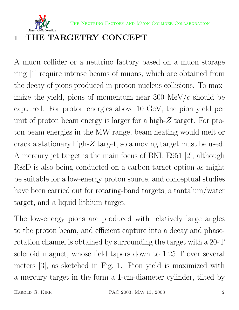

#### 1 THE TARGETRY CONCEPT

A muon collider or a neutrino factory based on a muon storage ring [1] require intense beams of muons, which are obtained from the decay of pions produced in proton-nucleus collisions. To maximize the yield, pions of momentum near 300 MeV/ $c$  should be captured. For proton energies above 10 GeV, the pion yield per unit of proton beam energy is larger for a high- $Z$  target. For proton beam energies in the MW range, beam heating would melt or crack a stationary high- $Z$  target, so a moving target must be used. A mercury jet target is the main focus of BNL E951 [2], although R&D is also being conducted on a carbon target option as might be suitable for a low-energy proton source, and conceptual studies have been carried out for rotating-band targets, a tantalum/water target, and a liquid-lithium target.

The low-energy pions are produced with relatively large angles to the proton beam, and efficient capture into a decay and phaserotation channel is obtained by surrounding the target with a 20-T solenoid magnet, whose field tapers down to 1.25 T over several meters [3], as sketched in Fig. 1. Pion yield is maximized with a mercury target in the form a 1-cm-diameter cylinder, tilted by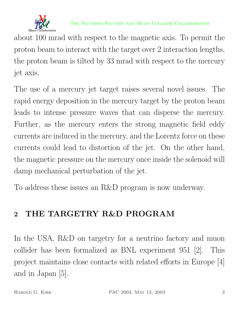

about 100 mrad with respect to the magnetic axis. To permit the proton beam to interact with the target over 2 interaction lengths, the proton beam is tilted by 33 mrad with respect to the mercury jet axis.

The use of a mercury jet target raises several novel issues. The rapid energy deposition in the mercury target by the proton beam leads to intense pressure waves that can disperse the mercury. Further, as the mercury enters the strong magnetic field eddy currents are induced in the mercury, and the Lorentz force on these currents could lead to distortion of the jet. On the other hand, the magnetic pressure on the mercury once inside the solenoid will damp mechanical perturbation of the jet.

To address these issues an R&D program is now underway.

#### 2 THE TARGETRY R&D PROGRAM

In the USA, R&D on targetry for a neutrino factory and muon collider has been formalized as BNL experiment 951 [2]. This project maintains close contacts with related efforts in Europe [4] and in Japan [5].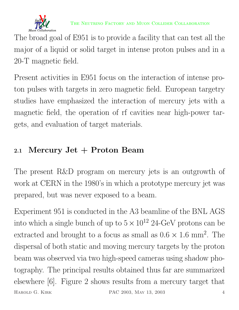

The broad goal of E951 is to provide a facility that can test all the major of a liquid or solid target in intense proton pulses and in a 20-T magnetic field.

Present activities in E951 focus on the interaction of intense proton pulses with targets in zero magnetic field. European targetry studies have emphasized the interaction of mercury jets with a magnetic field, the operation of rf cavities near high-power targets, and evaluation of target materials.

### 2.1 Mercury Jet + Proton Beam

The present R&D program on mercury jets is an outgrowth of work at CERN in the 1980's in which a prototype mercury jet was prepared, but was never exposed to a beam.

Experiment 951 is conducted in the A3 beamline of the BNL AGS into which a single bunch of up to  $5 \times 10^{12}$  24-GeV protons can be extracted and brought to a focus as small as  $0.6 \times 1.6$  mm<sup>2</sup>. The dispersal of both static and moving mercury targets by the proton beam was observed via two high-speed cameras using shadow photography. The principal results obtained thus far are summarized elsewhere [6]. Figure 2 shows results from a mercury target that HAROLD G. KIRK PAC 2003, MAY 13, 2003 4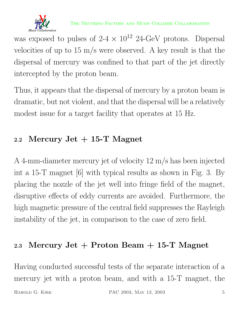

was exposed to pulses of  $2-4 \times 10^{12}$  24-GeV protons. Dispersal velocities of up to 15 m/s were observed. A key result is that the dispersal of mercury was confined to that part of the jet directly intercepted by the proton beam.

Thus, it appears that the dispersal of mercury by a proton beam is dramatic, but not violent, and that the dispersal will be a relatively modest issue for a target facility that operates at 15 Hz.

#### 2.2 Mercury Jet  $+$  15-T Magnet

A 4-mm-diameter mercury jet of velocity 12 m/s has been injected int a 15-T magnet [6] with typical results as shown in Fig. 3. By placing the nozzle of the jet well into fringe field of the magnet, disruptive effects of eddy currents are avoided. Furthermore, the high magnetic pressure of the central field suppresses the Rayleigh instability of the jet, in comparison to the case of zero field.

#### 2.3 Mercury Jet + Proton Beam +  $15-T$  Magnet

Having conducted successful tests of the separate interaction of a mercury jet with a proton beam, and with a 15-T magnet, the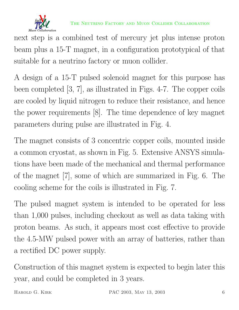

next step is a combined test of mercury jet plus intense proton beam plus a 15-T magnet, in a configuration prototypical of that suitable for a neutrino factory or muon collider.

A design of a 15-T pulsed solenoid magnet for this purpose has been completed [3, 7], as illustrated in Figs. 4-7. The copper coils are cooled by liquid nitrogen to reduce their resistance, and hence the power requirements [8]. The time dependence of key magnet parameters during pulse are illustrated in Fig. 4.

The magnet consists of 3 concentric copper coils, mounted inside a common cryostat, as shown in Fig. 5. Extensive ANSYS simulations have been made of the mechanical and thermal performance of the magnet [7], some of which are summarized in Fig. 6. The cooling scheme for the coils is illustrated in Fig. 7.

The pulsed magnet system is intended to be operated for less than 1,000 pulses, including checkout as well as data taking with proton beams. As such, it appears most cost effective to provide the 4.5-MW pulsed power with an array of batteries, rather than a rectified DC power supply.

Construction of this magnet system is expected to begin later this year, and could be completed in 3 years.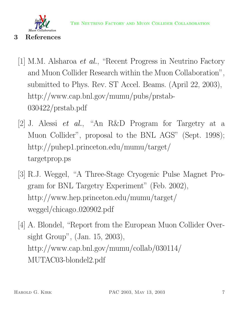

#### 3 References

- [1] M.M. Alsharoa et al., "Recent Progress in Neutrino Factory and Muon Collider Research within the Muon Collaboration", submitted to Phys. Rev. ST Accel. Beams. (April 22, 2003), http://www.cap.bnl.gov/mumu/pubs/prstab-030422/prstab.pdf
- [2] J. Alessi et al., "An R&D Program for Targetry at a Muon Collider", proposal to the BNL AGS" (Sept. 1998); http://puhep1.princeton.edu/mumu/target/ targetprop.ps
- [3] R.J. Weggel, "A Three-Stage Cryogenic Pulse Magnet Program for BNL Targetry Experiment" (Feb. 2002), http://www.hep.princeton.edu/mumu/target/ weggel/chicago 020902.pdf
- [4] A. Blondel, "Report from the European Muon Collider Oversight Group", (Jan. 15, 2003), http://www.cap.bnl.gov/mumu/collab/030114/ MUTAC03-blondel2.pdf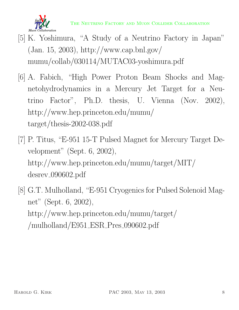

- [5] K. Yoshimura, "A Study of a Neutrino Factory in Japan" (Jan. 15, 2003), http://www.cap.bnl.gov/ mumu/collab/030114/MUTAC03-yoshimura.pdf
- [6] A. Fabich, "High Power Proton Beam Shocks and Magnetohydrodynamics in a Mercury Jet Target for a Neutrino Factor", Ph.D. thesis, U. Vienna (Nov. 2002), http://www.hep.princeton.edu/mumu/ target/thesis-2002-038.pdf
- [7] P. Titus, "E-951 15-T Pulsed Magnet for Mercury Target Development" (Sept. 6, 2002), http://www.hep.princeton.edu/mumu/target/MIT/ desrev 090602.pdf
- [8] G.T. Mulholland, "E-951 Cryogenics for Pulsed Solenoid Magnet" (Sept. 6, 2002), http://www.hep.princeton.edu/mumu/target/ /mulholland/E951 ESR Pres 090602.pdf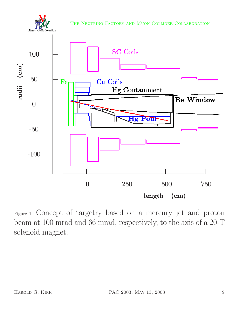



Figure 1: Concept of targetry based on a mercury jet and proton beam at 100 mrad and 66 mrad, respectively, to the axis of a 20-T solenoid magnet.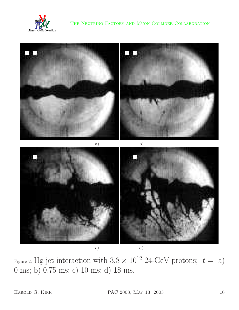



Figure 2: Hg jet interaction with  $3.8 \times 10^{12}$  24-GeV protons;  $t = a$ ) 0 ms; b) 0.75 ms; c) 10 ms; d) 18 ms.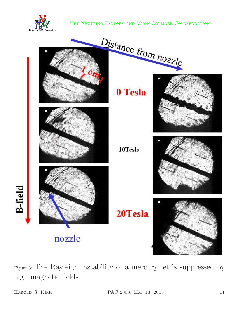



Figure 3: The Rayleigh instability of a mercury jet is suppressed by high magnetic fields.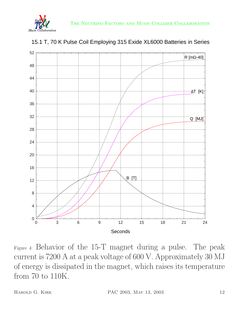



15.1 T, 70 K Pulse Coil Employing 315 Exide XL6000 Batteries in Series

Figure 4: Behavior of the 15-T magnet during a pulse. The peak current is 7200 A at a peak voltage of 600 V. Approximately 30 MJ of energy is dissipated in the magnet, which raises its temperature from 70 to 110K.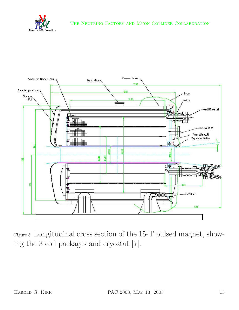



Figure 5: Longitudinal cross section of the 15-T pulsed magnet, showing the 3 coil packages and cryostat [7].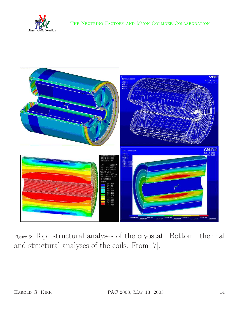



Figure 6: Top: structural analyses of the cryostat. Bottom: thermal and structural analyses of the coils. From [7].